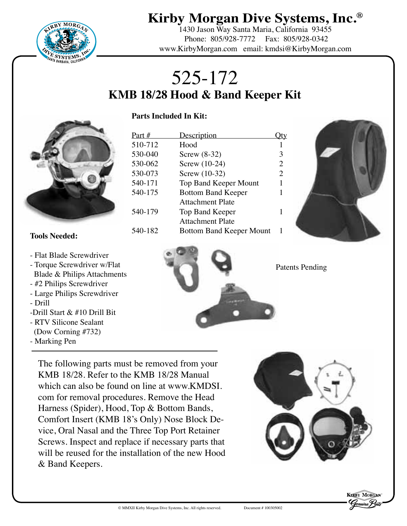

1430 Jason Way Santa Maria, California 93455 Phone: 805/928-7772 Fax: 805/928-0342 www.KirbyMorgan.com email: kmdsi@KirbyMorgan.com

# 525-172 **KMB 18/28 Hood & Band Keeper Kit**

#### **Parts Included In Kit:**



| Part #  | <b>Description</b>              |   |
|---------|---------------------------------|---|
| 510-712 | Hood                            |   |
| 530-040 | Screw $(8-32)$                  | 3 |
| 530-062 | Screw (10-24)                   | 2 |
| 530-073 | Screw (10-32)                   | 2 |
| 540-171 | <b>Top Band Keeper Mount</b>    | 1 |
| 540-175 | <b>Bottom Band Keeper</b>       | 1 |
|         | <b>Attachment Plate</b>         |   |
| 540-179 | Top Band Keeper                 |   |
|         | <b>Attachment Plate</b>         |   |
| 540-182 | <b>Bottom Band Keeper Mount</b> |   |
|         |                                 |   |



#### **Tools Needed:**

- Flat Blade Screwdriver
- Torque Screwdriver w/Flat Blade & Philips Attachments
- #2 Philips Screwdriver
- Large Philips Screwdriver
- Drill
- -Drill Start & #10 Drill Bit
- RTV Silicone Sealant
- (Dow Corning #732)
- Marking Pen



The following parts must be removed from your KMB 18/28. Refer to the KMB 18/28 Manual which can also be found on line at www.KMDSI. com for removal procedures. Remove the Head Harness (Spider), Hood, Top & Bottom Bands, Comfort Insert (KMB 18's Only) Nose Block Device, Oral Nasal and the Three Top Port Retainer Screws. Inspect and replace if necessary parts that will be reused for the installation of the new Hood & Band Keepers.



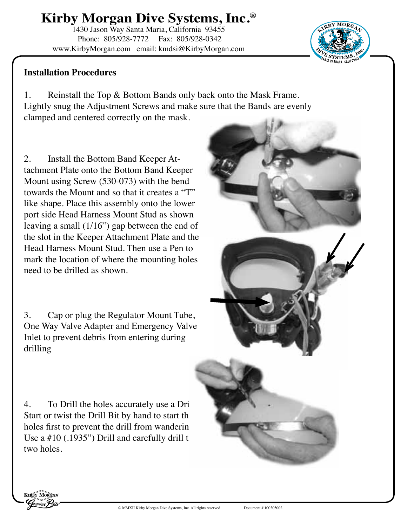1430 Jason Way Santa Maria, California 93455 Phone: 805/928-7772 Fax: 805/928-0342 www.KirbyMorgan.com email: kmdsi@KirbyMorgan.com

### **Installation Procedures**

1. Reinstall the Top & Bottom Bands only back onto the Mask Frame. Lightly snug the Adjustment Screws and make sure that the Bands are evenly clamped and centered correctly on the mask.

**<sup>K</sup>IRB<sup>Y</sup> <sup>M</sup>ORGA<sup>N</sup>**

 $D$  **ID IE S IS IS IE ID IC** 

2. Install the Bottom Band Keeper Attachment Plate onto the Bottom Band Keeper Mount using Screw (530-073) with the bend towards the Mount and so that it creates a "T" like shape. Place this assembly onto the lower port side Head Harness Mount Stud as shown leaving a small (1/16") gap between the end of the slot in the Keeper Attachment Plate and the Head Harness Mount Stud. Then use a Pen to mark the location of where the mounting holes need to be drilled as shown.

3. Cap or plug the Regulator Mount Tube, One Way Valve Adapter and Emergency Valve Inlet to prevent debris from entering during drilling

4. To Drill the holes accurately use a Dri Start or twist the Drill Bit by hand to start the holes first to prevent the drill from wander in Use a  $#10$  (.1935") Drill and carefully drill the two holes.

**KERBY MORGEN**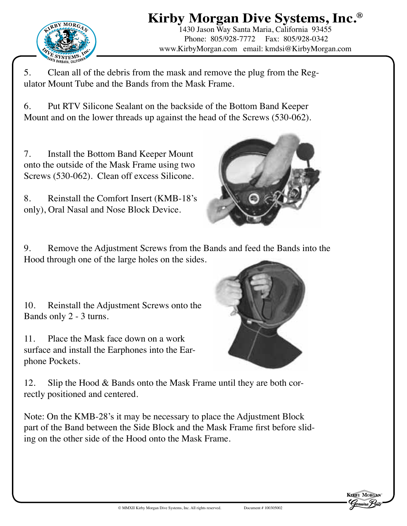

1430 Jason Way Santa Maria, California 93455 Phone: 805/928-7772 Fax: 805/928-0342 www.KirbyMorgan.com email: kmdsi@KirbyMorgan.com

5. Clean all of the debris from the mask and remove the plug from the Regulator Mount Tube and the Bands from the Mask Frame.

6. Put RTV Silicone Sealant on the backside of the Bottom Band Keeper Mount and on the lower threads up against the head of the Screws (530-062).

7. Install the Bottom Band Keeper Mount onto the outside of the Mask Frame using two Screws (530-062). Clean off excess Silicone.

8. Reinstall the Comfort Insert (KMB-18's only), Oral Nasal and Nose Block Device.



9. Remove the Adjustment Screws from the Bands and feed the Bands into the Hood through one of the large holes on the sides.

10. Reinstall the Adjustment Screws onto the Bands only 2 - 3 turns.

11. Place the Mask face down on a work surface and install the Earphones into the Earphone Pockets.

12. Slip the Hood & Bands onto the Mask Frame until they are both correctly positioned and centered.

Note: On the KMB-28's it may be necessary to place the Adjustment Block part of the Band between the Side Block and the Mask Frame first before sliding on the other side of the Hood onto the Mask Frame.